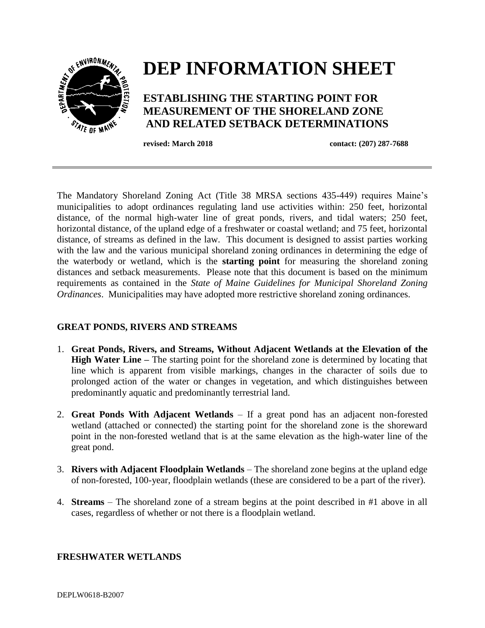

The Mandatory Shoreland Zoning Act (Title 38 MRSA sections 435-449) requires Maine's municipalities to adopt ordinances regulating land use activities within: 250 feet, horizontal distance, of the normal high-water line of great ponds, rivers, and tidal waters; 250 feet, horizontal distance, of the upland edge of a freshwater or coastal wetland; and 75 feet, horizontal distance, of streams as defined in the law. This document is designed to assist parties working with the law and the various municipal shoreland zoning ordinances in determining the edge of the waterbody or wetland, which is the **starting point** for measuring the shoreland zoning distances and setback measurements. Please note that this document is based on the minimum requirements as contained in the *State of Maine Guidelines for Municipal Shoreland Zoning Ordinances*. Municipalities may have adopted more restrictive shoreland zoning ordinances.

## **GREAT PONDS, RIVERS AND STREAMS**

- 1. **Great Ponds, Rivers, and Streams, Without Adjacent Wetlands at the Elevation of the High Water Line** – The starting point for the shoreland zone is determined by locating that line which is apparent from visible markings, changes in the character of soils due to prolonged action of the water or changes in vegetation, and which distinguishes between predominantly aquatic and predominantly terrestrial land.
- 2. **Great Ponds With Adjacent Wetlands** If a great pond has an adjacent non-forested wetland (attached or connected) the starting point for the shoreland zone is the shoreward point in the non-forested wetland that is at the same elevation as the high-water line of the great pond.
- 3. **Rivers with Adjacent Floodplain Wetlands**  The shoreland zone begins at the upland edge of non-forested, 100-year, floodplain wetlands (these are considered to be a part of the river).
- 4. **Streams**  The shoreland zone of a stream begins at the point described in #1 above in all cases, regardless of whether or not there is a floodplain wetland.

## **FRESHWATER WETLANDS**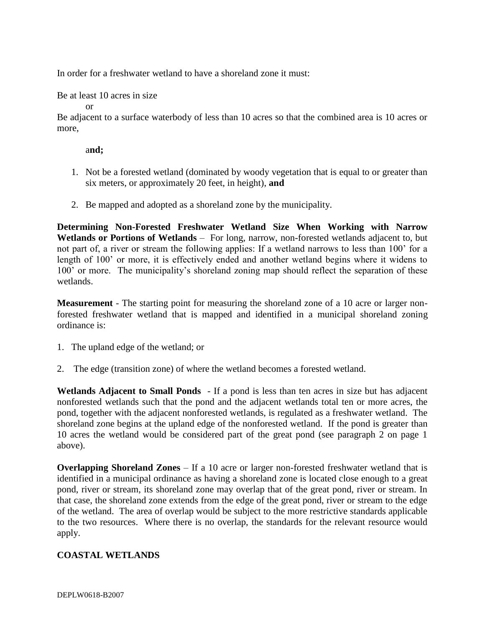In order for a freshwater wetland to have a shoreland zone it must:

Be at least 10 acres in size

or

Be adjacent to a surface waterbody of less than 10 acres so that the combined area is 10 acres or more,

a**nd;**

- 1. Not be a forested wetland (dominated by woody vegetation that is equal to or greater than six meters, or approximately 20 feet, in height), **and**
- 2. Be mapped and adopted as a shoreland zone by the municipality.

**Determining Non-Forested Freshwater Wetland Size When Working with Narrow Wetlands or Portions of Wetlands** – For long, narrow, non-forested wetlands adjacent to, but not part of, a river or stream the following applies: If a wetland narrows to less than 100' for a length of 100' or more, it is effectively ended and another wetland begins where it widens to 100' or more. The municipality's shoreland zoning map should reflect the separation of these wetlands.

**Measurement** - The starting point for measuring the shoreland zone of a 10 acre or larger nonforested freshwater wetland that is mapped and identified in a municipal shoreland zoning ordinance is:

- 1. The upland edge of the wetland; or
- 2. The edge (transition zone) of where the wetland becomes a forested wetland.

**Wetlands Adjacent to Small Ponds** - If a pond is less than ten acres in size but has adjacent nonforested wetlands such that the pond and the adjacent wetlands total ten or more acres, the pond, together with the adjacent nonforested wetlands, is regulated as a freshwater wetland. The shoreland zone begins at the upland edge of the nonforested wetland. If the pond is greater than 10 acres the wetland would be considered part of the great pond (see paragraph 2 on page 1 above).

**Overlapping Shoreland Zones** – If a 10 acre or larger non-forested freshwater wetland that is identified in a municipal ordinance as having a shoreland zone is located close enough to a great pond, river or stream, its shoreland zone may overlap that of the great pond, river or stream. In that case, the shoreland zone extends from the edge of the great pond, river or stream to the edge of the wetland. The area of overlap would be subject to the more restrictive standards applicable to the two resources. Where there is no overlap, the standards for the relevant resource would apply.

## **COASTAL WETLANDS**